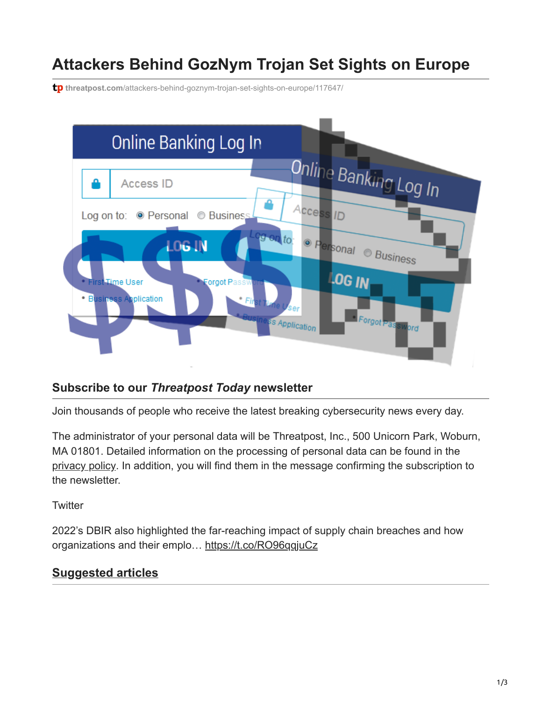# **Attackers Behind GozNym Trojan Set Sights on Europe**

**tp** threatpost.com[/attackers-behind-goznym-trojan-set-sights-on-europe/117647/](https://threatpost.com/attackers-behind-goznym-trojan-set-sights-on-europe/117647/)



#### **Subscribe to our** *Threatpost Today* **newsletter**

Join thousands of people who receive the latest breaking cybersecurity news every day.

The administrator of your personal data will be Threatpost, Inc., 500 Unicorn Park, Woburn, MA 01801. Detailed information on the processing of personal data can be found in the [privacy policy](https://threatpost.com/web-privacy-policy/). In addition, you will find them in the message confirming the subscription to the newsletter.

**Twitter** 

2022's DBIR also highlighted the far-reaching impact of supply chain breaches and how organizations and their emplo… <https://t.co/RO96qqjuCz>

### **Suggested articles**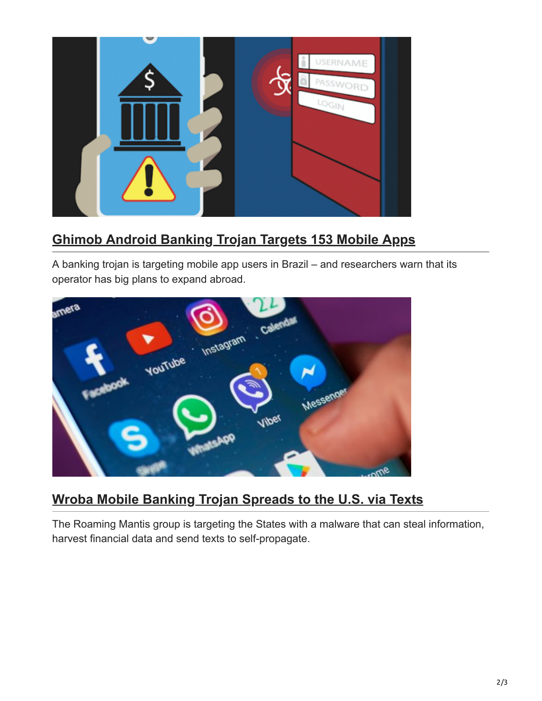

## **[Ghimob Android Banking Trojan Targets 153 Mobile Apps](https://threatpost.com/ghimob-android-banking-trojan/161075/)**

A banking trojan is targeting mobile app users in Brazil – and researchers warn that its operator has big plans to expand abroad.



### **[Wroba Mobile Banking Trojan Spreads to the U.S. via Texts](https://threatpost.com/wroba-mobile-banking-trojan-spreads-us/160785/)**

The Roaming Mantis group is targeting the States with a malware that can steal information, harvest financial data and send texts to self-propagate.